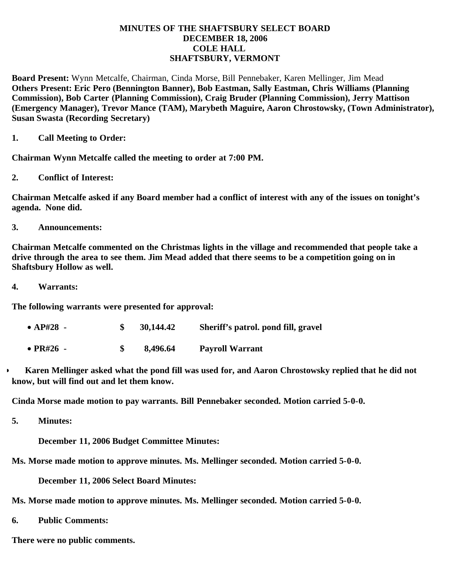## **MINUTES OF THE SHAFTSBURY SELECT BOARD DECEMBER 18, 2006 COLE HALL SHAFTSBURY, VERMONT**

**Board Present:** Wynn Metcalfe, Chairman, Cinda Morse, Bill Pennebaker, Karen Mellinger, Jim Mead **Others Present: Eric Pero (Bennington Banner), Bob Eastman, Sally Eastman, Chris Williams (Planning Commission), Bob Carter (Planning Commission), Craig Bruder (Planning Commission), Jerry Mattison (Emergency Manager), Trevor Mance (TAM), Marybeth Maguire, Aaron Chrostowsky, (Town Administrator), Susan Swasta (Recording Secretary)**

**1. Call Meeting to Order:**

**Chairman Wynn Metcalfe called the meeting to order at 7:00 PM.**

**2. Conflict of Interest:**

**Chairman Metcalfe asked if any Board member had a conflict of interest with any of the issues on tonight's agenda. None did.**

**3. Announcements:**

**Chairman Metcalfe commented on the Christmas lights in the village and recommended that people take a drive through the area to see them. Jim Mead added that there seems to be a competition going on in Shaftsbury Hollow as well.**

**4. Warrants:**

**The following warrants were presented for approval:**

| • $AP#28$ - | 30,144.42 | Sheriff's patrol. pond fill, gravel |
|-------------|-----------|-------------------------------------|
| • $PR#26 -$ | 8,496.64  | <b>Payroll Warrant</b>              |

· **Karen Mellinger asked what the pond fill was used for, and Aaron Chrostowsky replied that he did not know, but will find out and let them know.**

**Cinda Morse made motion to pay warrants. Bill Pennebaker seconded. Motion carried 5-0-0.**

**5. Minutes:**

 **December 11, 2006 Budget Committee Minutes:**

**Ms. Morse made motion to approve minutes. Ms. Mellinger seconded. Motion carried 5-0-0.**

 **December 11, 2006 Select Board Minutes:**

**Ms. Morse made motion to approve minutes. Ms. Mellinger seconded. Motion carried 5-0-0.**

**6. Public Comments:**

**There were no public comments.**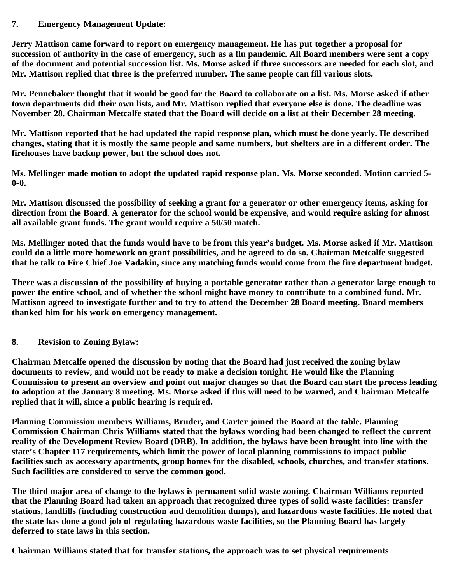## **7. Emergency Management Update:**

**Jerry Mattison came forward to report on emergency management. He has put together a proposal for succession of authority in the case of emergency, such as a flu pandemic. All Board members were sent a copy of the document and potential succession list. Ms. Morse asked if three successors are needed for each slot, and Mr. Mattison replied that three is the preferred number. The same people can fill various slots.**

**Mr. Pennebaker thought that it would be good for the Board to collaborate on a list. Ms. Morse asked if other town departments did their own lists, and Mr. Mattison replied that everyone else is done. The deadline was November 28. Chairman Metcalfe stated that the Board will decide on a list at their December 28 meeting.**

**Mr. Mattison reported that he had updated the rapid response plan, which must be done yearly. He described changes, stating that it is mostly the same people and same numbers, but shelters are in a different order. The firehouses have backup power, but the school does not.**

**Ms. Mellinger made motion to adopt the updated rapid response plan. Ms. Morse seconded. Motion carried 5- 0-0.**

**Mr. Mattison discussed the possibility of seeking a grant for a generator or other emergency items, asking for direction from the Board. A generator for the school would be expensive, and would require asking for almost all available grant funds. The grant would require a 50/50 match.**

**Ms. Mellinger noted that the funds would have to be from this year's budget. Ms. Morse asked if Mr. Mattison could do a little more homework on grant possibilities, and he agreed to do so. Chairman Metcalfe suggested that he talk to Fire Chief Joe Vadakin, since any matching funds would come from the fire department budget.**

**There was a discussion of the possibility of buying a portable generator rather than a generator large enough to power the entire school, and of whether the school might have money to contribute to a combined fund. Mr. Mattison agreed to investigate further and to try to attend the December 28 Board meeting. Board members thanked him for his work on emergency management.**

## **8. Revision to Zoning Bylaw:**

**Chairman Metcalfe opened the discussion by noting that the Board had just received the zoning bylaw documents to review, and would not be ready to make a decision tonight. He would like the Planning Commission to present an overview and point out major changes so that the Board can start the process leading to adoption at the January 8 meeting. Ms. Morse asked if this will need to be warned, and Chairman Metcalfe replied that it will, since a public hearing is required.**

**Planning Commission members Williams, Bruder, and Carter joined the Board at the table. Planning Commission Chairman Chris Williams stated that the bylaws wording had been changed to reflect the current reality of the Development Review Board (DRB). In addition, the bylaws have been brought into line with the state's Chapter 117 requirements, which limit the power of local planning commissions to impact public facilities such as accessory apartments, group homes for the disabled, schools, churches, and transfer stations. Such facilities are considered to serve the common good.**

**The third major area of change to the bylaws is permanent solid waste zoning. Chairman Williams reported that the Planning Board had taken an approach that recognized three types of solid waste facilities: transfer stations, landfills (including construction and demolition dumps), and hazardous waste facilities. He noted that the state has done a good job of regulating hazardous waste facilities, so the Planning Board has largely deferred to state laws in this section.**

**Chairman Williams stated that for transfer stations, the approach was to set physical requirements**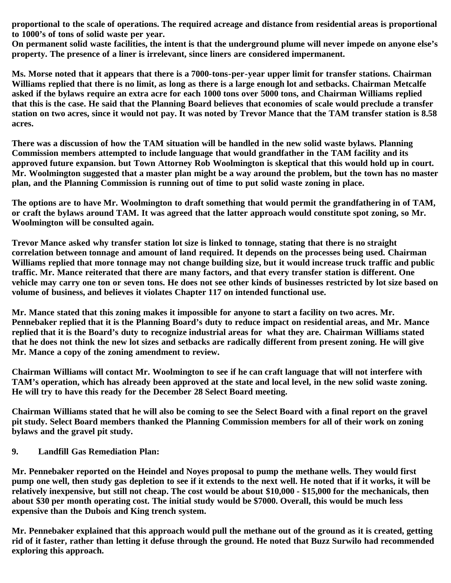**proportional to the scale of operations. The required acreage and distance from residential areas is proportional to 1000's of tons of solid waste per year.**

**On permanent solid waste facilities, the intent is that the underground plume will never impede on anyone else's property. The presence of a liner is irrelevant, since liners are considered impermanent.**

**Ms. Morse noted that it appears that there is a 7000-tons-per-year upper limit for transfer stations. Chairman Williams replied that there is no limit, as long as there is a large enough lot and setbacks. Chairman Metcalfe asked if the bylaws require an extra acre for each 1000 tons over 5000 tons, and Chairman Williams replied that this is the case. He said that the Planning Board believes that economies of scale would preclude a transfer station on two acres, since it would not pay. It was noted by Trevor Mance that the TAM transfer station is 8.58 acres.**

**There was a discussion of how the TAM situation will be handled in the new solid waste bylaws. Planning Commission members attempted to include language that would grandfather in the TAM facility and its approved future expansion. but Town Attorney Rob Woolmington is skeptical that this would hold up in court. Mr. Woolmington suggested that a master plan might be a way around the problem, but the town has no master plan, and the Planning Commission is running out of time to put solid waste zoning in place.**

**The options are to have Mr. Woolmington to draft something that would permit the grandfathering in of TAM, or craft the bylaws around TAM. It was agreed that the latter approach would constitute spot zoning, so Mr. Woolmington will be consulted again.**

**Trevor Mance asked why transfer station lot size is linked to tonnage, stating that there is no straight correlation between tonnage and amount of land required. It depends on the processes being used. Chairman Williams replied that more tonnage may not change building size, but it would increase truck traffic and public traffic. Mr. Mance reiterated that there are many factors, and that every transfer station is different. One vehicle may carry one ton or seven tons. He does not see other kinds of businesses restricted by lot size based on volume of business, and believes it violates Chapter 117 on intended functional use.**

**Mr. Mance stated that this zoning makes it impossible for anyone to start a facility on two acres. Mr. Pennebaker replied that it is the Planning Board's duty to reduce impact on residential areas, and Mr. Mance replied that it is the Board's duty to recognize industrial areas for what they are. Chairman Williams stated that he does not think the new lot sizes and setbacks are radically different from present zoning. He will give Mr. Mance a copy of the zoning amendment to review.**

**Chairman Williams will contact Mr. Woolmington to see if he can craft language that will not interfere with TAM's operation, which has already been approved at the state and local level, in the new solid waste zoning. He will try to have this ready for the December 28 Select Board meeting.**

**Chairman Williams stated that he will also be coming to see the Select Board with a final report on the gravel pit study. Select Board members thanked the Planning Commission members for all of their work on zoning bylaws and the gravel pit study.**

**9. Landfill Gas Remediation Plan:**

**Mr. Pennebaker reported on the Heindel and Noyes proposal to pump the methane wells. They would first pump one well, then study gas depletion to see if it extends to the next well. He noted that if it works, it will be relatively inexpensive, but still not cheap. The cost would be about \$10,000 - \$15,000 for the mechanicals, then about \$30 per month operating cost. The initial study would be \$7000. Overall, this would be much less expensive than the Dubois and King trench system.**

**Mr. Pennebaker explained that this approach would pull the methane out of the ground as it is created, getting rid of it faster, rather than letting it defuse through the ground. He noted that Buzz Surwilo had recommended exploring this approach.**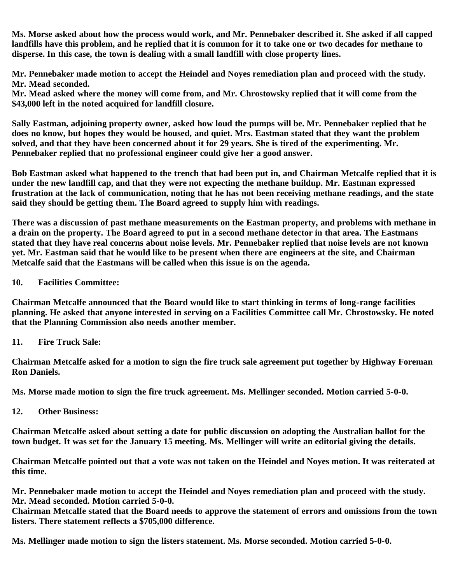**Ms. Morse asked about how the process would work, and Mr. Pennebaker described it. She asked if all capped landfills have this problem, and he replied that it is common for it to take one or two decades for methane to disperse. In this case, the town is dealing with a small landfill with close property lines.**

**Mr. Pennebaker made motion to accept the Heindel and Noyes remediation plan and proceed with the study. Mr. Mead seconded.**

**Mr. Mead asked where the money will come from, and Mr. Chrostowsky replied that it will come from the \$43,000 left in the noted acquired for landfill closure.**

**Sally Eastman, adjoining property owner, asked how loud the pumps will be. Mr. Pennebaker replied that he does no know, but hopes they would be housed, and quiet. Mrs. Eastman stated that they want the problem solved, and that they have been concerned about it for 29 years. She is tired of the experimenting. Mr. Pennebaker replied that no professional engineer could give her a good answer.**

**Bob Eastman asked what happened to the trench that had been put in, and Chairman Metcalfe replied that it is under the new landfill cap, and that they were not expecting the methane buildup. Mr. Eastman expressed frustration at the lack of communication, noting that he has not been receiving methane readings, and the state said they should be getting them. The Board agreed to supply him with readings.**

**There was a discussion of past methane measurements on the Eastman property, and problems with methane in a drain on the property. The Board agreed to put in a second methane detector in that area. The Eastmans stated that they have real concerns about noise levels. Mr. Pennebaker replied that noise levels are not known yet. Mr. Eastman said that he would like to be present when there are engineers at the site, and Chairman Metcalfe said that the Eastmans will be called when this issue is on the agenda.**

**10. Facilities Committee:**

**Chairman Metcalfe announced that the Board would like to start thinking in terms of long-range facilities planning. He asked that anyone interested in serving on a Facilities Committee call Mr. Chrostowsky. He noted that the Planning Commission also needs another member.**

**11. Fire Truck Sale:**

**Chairman Metcalfe asked for a motion to sign the fire truck sale agreement put together by Highway Foreman Ron Daniels.**

**Ms. Morse made motion to sign the fire truck agreement. Ms. Mellinger seconded. Motion carried 5-0-0.**

**12. Other Business:**

**Chairman Metcalfe asked about setting a date for public discussion on adopting the Australian ballot for the town budget. It was set for the January 15 meeting. Ms. Mellinger will write an editorial giving the details.**

**Chairman Metcalfe pointed out that a vote was not taken on the Heindel and Noyes motion. It was reiterated at this time.**

**Mr. Pennebaker made motion to accept the Heindel and Noyes remediation plan and proceed with the study. Mr. Mead seconded. Motion carried 5-0-0.**

**Chairman Metcalfe stated that the Board needs to approve the statement of errors and omissions from the town listers. There statement reflects a \$705,000 difference.**

**Ms. Mellinger made motion to sign the listers statement. Ms. Morse seconded. Motion carried 5-0-0.**